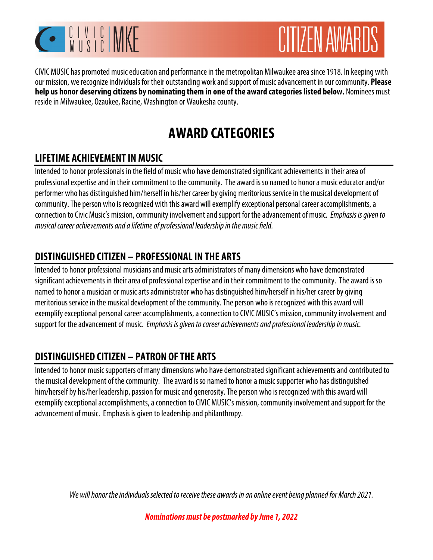



CIVIC MUSIC has promoted music education and performance in the metropolitan Milwaukee area since 1918. In keeping with our mission, we recognize individuals for their outstanding work and support of music advancement in our community. **Please help us honor deserving citizens by nominating them in one of the award categories listed below.** Nominees must reside in Milwaukee, Ozaukee, Racine, Washington or Waukesha county.

# **AWARD CATEGORIES**

### **LIFETIME ACHIEVEMENT IN MUSIC**

Intended to honor professionals in the field of music who have demonstrated significant achievements in their area of professional expertise and in their commitment to the community. The award is so named to honor a music educator and/or performer who has distinguished him/herself in his/her career by giving meritorious service in the musical development of community. The person who is recognized with this award will exemplify exceptional personal career accomplishments, a connection to Civic Music's mission, community involvement and support for the advancement of music. Emphasis is given to musical career achievements and a lifetime of professional leadership in the music field.

### **DISTINGUISHED CITIZEN – PROFESSIONAL IN THE ARTS**

Intended to honor professional musicians and music arts administrators of many dimensions who have demonstrated significant achievements in their area of professional expertise and in their commitment to the community. The award is so named to honor a musician or music arts administrator who has distinguished him/herself in his/her career by giving meritorious service in the musical development of the community. The person who is recognized with this award will exemplify exceptional personal career accomplishments, a connection to CIVIC MUSIC's mission, community involvement and support for the advancement of music. Emphasis is given to career achievements and professional leadership in music.

## **DISTINGUISHED CITIZEN – PATRON OF THE ARTS**

Intended to honor music supporters of many dimensions who have demonstrated significant achievements and contributed to the musical development of the community. The award is so named to honor a music supporter who has distinguished him/herself by his/her leadership, passion for music and generosity. The person who is recognized with this award will exemplify exceptional accomplishments, a connection to CIVIC MUSIC's mission, community involvement and support for the advancement of music. Emphasis is given to leadership and philanthropy.

We will honor the individuals selected to receive these awards in an online event being planned for March 2021.

*Nominations must be postmarked by June 1, 2022*